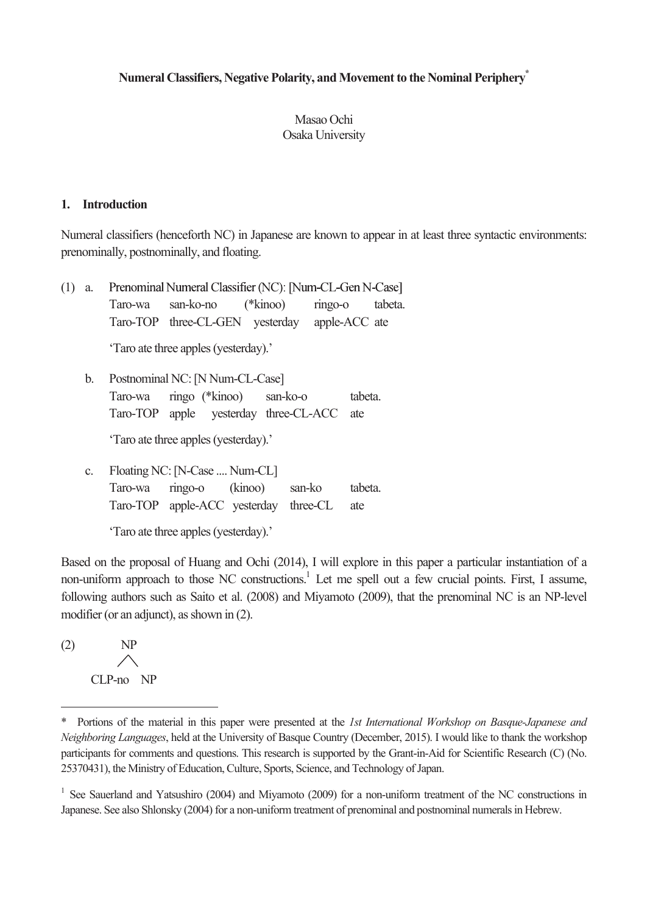# **Numeral Classifiers, Negative Polarity, and Movement to the Nominal Periphery\***

## Masao Ochi Osaka University

### **1. Introduction**

Numeral classifiers (henceforth NC) in Japanese are known to appear in at least three syntactic environments: prenominally, postnominally, and floating.

| (1) | Prenominal Numeral Classifier (NC): [Num-CL-Gen N-Case]<br>a. |                                                                   |  |  |  |  |  |  |  |  |
|-----|---------------------------------------------------------------|-------------------------------------------------------------------|--|--|--|--|--|--|--|--|
|     |                                                               | san-ko-no<br>$(*\text{kinoo})$<br>$ringo-o$<br>Taro-wa<br>tabeta. |  |  |  |  |  |  |  |  |
|     |                                                               | Taro-TOP three-CL-GEN yesterday apple-ACC ate                     |  |  |  |  |  |  |  |  |
|     |                                                               | 'Taro ate three apples (yesterday).'                              |  |  |  |  |  |  |  |  |
|     | Postnominal NC: [N Num-CL-Case]<br>b.                         |                                                                   |  |  |  |  |  |  |  |  |
|     |                                                               | ringo (*kinoo) san-ko-o<br>tabeta.<br>Taro-wa                     |  |  |  |  |  |  |  |  |
|     |                                                               | Taro-TOP apple yesterday three-CL-ACC<br>ate                      |  |  |  |  |  |  |  |  |
|     |                                                               | 'Taro ate three apples (yesterday).'                              |  |  |  |  |  |  |  |  |
|     | C.                                                            | Floating NC: [N-Case  Num-CL]                                     |  |  |  |  |  |  |  |  |
|     |                                                               | (kinoo)<br>$ringo-o$<br>san-ko<br>tabeta.<br>Taro-wa              |  |  |  |  |  |  |  |  |
|     |                                                               | Taro-TOP apple-ACC yesterday<br>three-CL<br>ate                   |  |  |  |  |  |  |  |  |

'Taro ate three apples (yesterday).'

Based on the proposal of Huang and Ochi (2014), I will explore in this paper a particular instantiation of a non-uniform approach to those NC constructions.<sup>1</sup> Let me spell out a few crucial points. First, I assume, following authors such as Saito et al. (2008) and Miyamoto (2009), that the prenominal NC is an NP-level modifier (or an adjunct), as shown in (2).

(2) NP  $\triangle$ CLP-no NP

 $\overline{a}$ 

<sup>\*</sup> Portions of the material in this paper were presented at the *1st International Workshop on Basque-Japanese and Neighboring Languages*, held at the University of Basque Country (December, 2015). I would like to thank the workshop participants for comments and questions. This research is supported by the Grant-in-Aid for Scientific Research (C) (No. 25370431), the Ministry of Education, Culture, Sports, Science, and Technology of Japan.

<sup>&</sup>lt;sup>1</sup> See Sauerland and Yatsushiro (2004) and Miyamoto (2009) for a non-uniform treatment of the NC constructions in Japanese. See also Shlonsky (2004) for a non-uniform treatment of prenominal and postnominal numerals in Hebrew.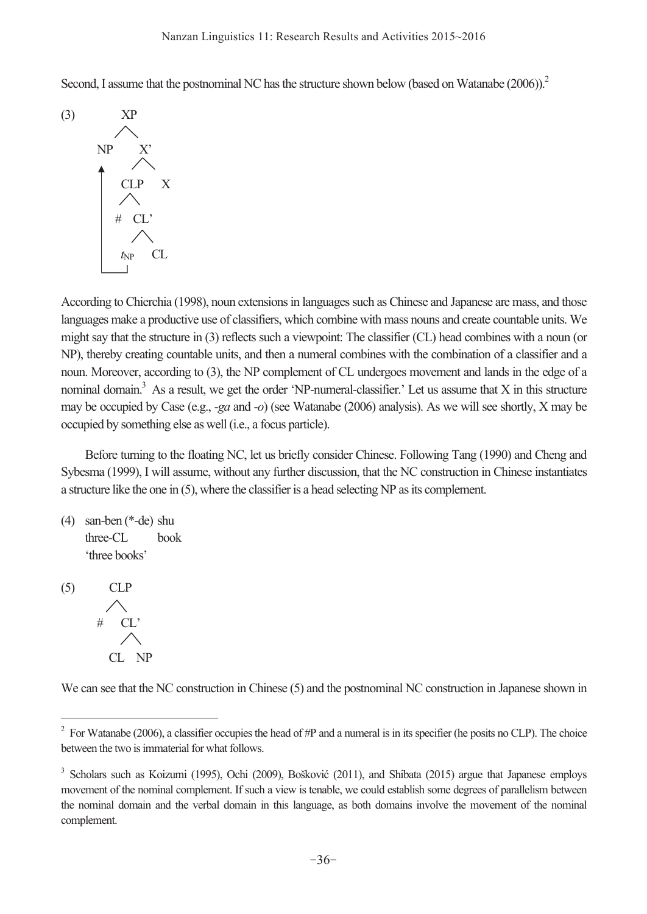Second, I assume that the postnominal NC has the structure shown below (based on Watanabe (2006)).<sup>2</sup>



According to Chierchia (1998), noun extensions in languages such as Chinese and Japanese are mass, and those languages make a productive use of classifiers, which combine with mass nouns and create countable units. We might say that the structure in (3) reflects such a viewpoint: The classifier (CL) head combines with a noun (or NP), thereby creating countable units, and then a numeral combines with the combination of a classifier and a noun. Moreover, according to (3), the NP complement of CL undergoes movement and lands in the edge of a nominal domain.<sup>3</sup> As a result, we get the order 'NP-numeral-classifier.' Let us assume that  $X$  in this structure may be occupied by Case (e.g., -*ga* and -*o*) (see Watanabe (2006) analysis). As we will see shortly, X may be occupied by something else as well (i.e., a focus particle).

 Before turning to the floating NC, let us briefly consider Chinese. Following Tang (1990) and Cheng and Sybesma (1999), I will assume, without any further discussion, that the NC construction in Chinese instantiates a structure like the one in (5), where the classifier is a head selecting NP as its complement.

```
(4) san-ben (*-de) shu 
 three-CL book 
  'three books'
```

```
(5) CLP 
# CL'
   CL NP
```
 $\overline{a}$ 

We can see that the NC construction in Chinese (5) and the postnominal NC construction in Japanese shown in

<sup>&</sup>lt;sup>2</sup> For Watanabe (2006), a classifier occupies the head of #P and a numeral is in its specifier (he posits no CLP). The choice between the two is immaterial for what follows.

<sup>&</sup>lt;sup>3</sup> Scholars such as Koizumi (1995), Ochi (2009), Bošković (2011), and Shibata (2015) argue that Japanese employs movement of the nominal complement. If such a view is tenable, we could establish some degrees of parallelism between the nominal domain and the verbal domain in this language, as both domains involve the movement of the nominal complement.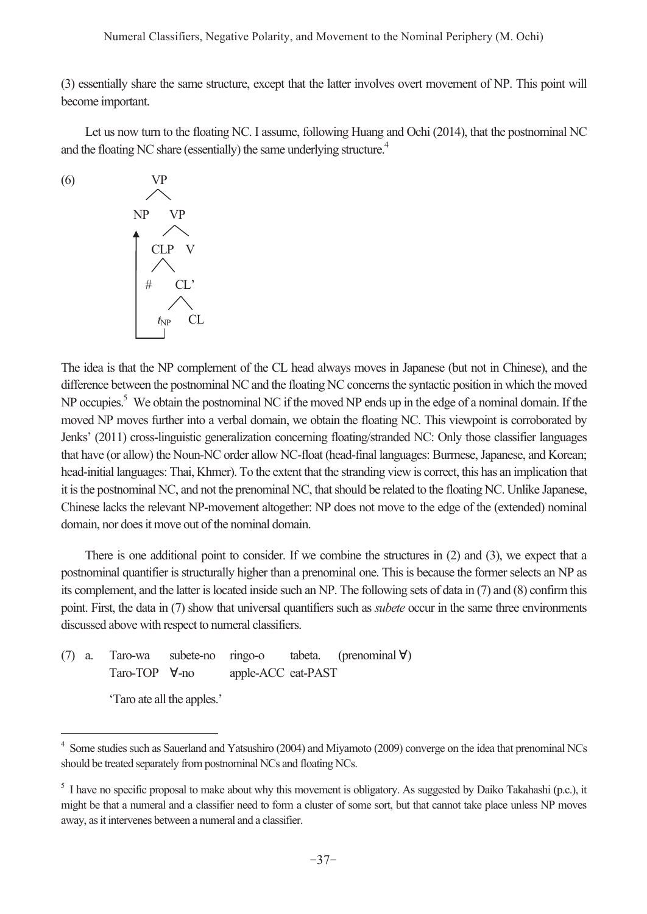#### Numeral Classifiers, Negative Polarity, and Movement to the Nominal Periphery (M. Ochi)

(3) essentially share the same structure, except that the latter involves overt movement of NP. This point will become important.

 Let us now turn to the floating NC. I assume, following Huang and Ochi (2014), that the postnominal NC and the floating NC share (essentially) the same underlying structure.<sup>4</sup>

$$
(6) \quad \text{VP} \quad \text{NP} \quad \text{VP} \quad \text{NP} \quad \text{VP} \quad \text{NP} \quad \text{VP} \quad \text{NP} \quad \text{VP} \quad \text{NP} \quad \text{VP} \quad \text{NP} \quad \text{VP} \quad \text{NP} \quad \text{CL} \quad \text{NP} \quad \text{CL}
$$

The idea is that the NP complement of the CL head always moves in Japanese (but not in Chinese), and the difference between the postnominal NC and the floating NC concerns the syntactic position in which the moved NP occupies.<sup>5</sup> We obtain the postnominal NC if the moved NP ends up in the edge of a nominal domain. If the moved NP moves further into a verbal domain, we obtain the floating NC. This viewpoint is corroborated by Jenks' (2011) cross-linguistic generalization concerning floating/stranded NC: Only those classifier languages that have (or allow) the Noun-NC order allow NC-float (head-final languages: Burmese, Japanese, and Korean; head-initial languages: Thai, Khmer). To the extent that the stranding view is correct, this has an implication that it is the postnominal NC, and not the prenominal NC, that should be related to the floating NC. Unlike Japanese, Chinese lacks the relevant NP-movement altogether: NP does not move to the edge of the (extended) nominal domain, nor does it move out of the nominal domain.

 There is one additional point to consider. If we combine the structures in (2) and (3), we expect that a postnominal quantifier is structurally higher than a prenominal one. This is because the former selects an NP as its complement, and the latter is located inside such an NP. The following sets of data in (7) and (8) confirm this point. First, the data in (7) show that universal quantifiers such as *subete* occur in the same three environments discussed above with respect to numeral classifiers.

(7) a. Taro-wa subete-no ringo-o tabeta. (prenominal ∀) Taro-TOP ∀-no apple-ACC eat-PAST

'Taro ate all the apples.'

 4 Some studies such as Sauerland and Yatsushiro (2004) and Miyamoto (2009) converge on the idea that prenominal NCs should be treated separately from postnominal NCs and floating NCs.

<sup>&</sup>lt;sup>5</sup> I have no specific proposal to make about why this movement is obligatory. As suggested by Daiko Takahashi (p.c.), it might be that a numeral and a classifier need to form a cluster of some sort, but that cannot take place unless NP moves away, as it intervenes between a numeral and a classifier.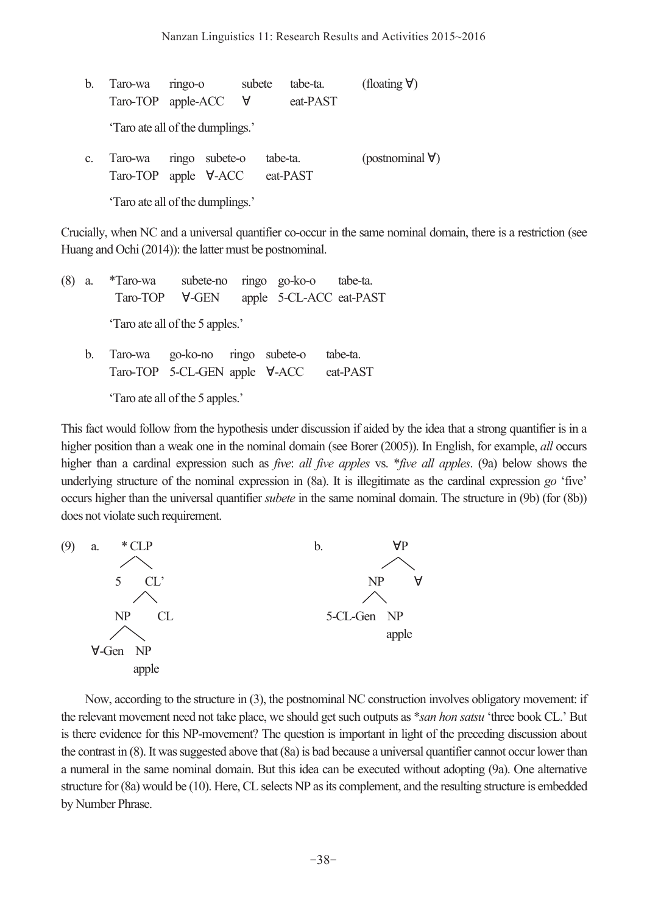| b.             | Taro-wa<br>Taro-TOP apple-ACC                         | ringo-o | subete<br>$\forall$ | tabe-ta.<br>eat-PAST | (floating $\forall$ ) |                          |
|----------------|-------------------------------------------------------|---------|---------------------|----------------------|-----------------------|--------------------------|
|                | 'Taro ate all of the dumplings.'                      |         |                     |                      |                       |                          |
| C <sub>r</sub> | ringo subete-o<br>Taro-wa<br>$Taro-TOP$ apple $V-ACC$ |         |                     | tabe-ta.<br>eat-PAST |                       | (postnominal $\forall$ ) |
|                | 'Taro ate all of the dumplings.'                      |         |                     |                      |                       |                          |

Crucially, when NC and a universal quantifier co-occur in the same nominal domain, there is a restriction (see Huang and Ochi (2014)): the latter must be postnominal.

(8) a. \*Taro-wa subete-no ringo go-ko-o tabe-ta. Taro-TOP ∀-GEN apple 5-CL-ACC eat-PAST 'Taro ate all of the 5 apples.' b. Taro-wa go-ko-no ringo subete-o tabe-ta. Taro-TOP 5-CL-GEN apple ∀-ACC eat-PAST

'Taro ate all of the 5 apples.'

This fact would follow from the hypothesis under discussion if aided by the idea that a strong quantifier is in a higher position than a weak one in the nominal domain (see Borer (2005)). In English, for example, *all* occurs higher than a cardinal expression such as *five*: *all five apples* vs. \**five all apples*. (9a) below shows the underlying structure of the nominal expression in (8a). It is illegitimate as the cardinal expression *go* 'five' occurs higher than the universal quantifier *subete* in the same nominal domain. The structure in (9b) (for (8b)) does not violate such requirement.



 Now, according to the structure in (3), the postnominal NC construction involves obligatory movement: if the relevant movement need not take place, we should get such outputs as \**san hon satsu* 'three book CL.' But is there evidence for this NP-movement? The question is important in light of the preceding discussion about the contrast in (8). It was suggested above that (8a) is bad because a universal quantifier cannot occur lower than a numeral in the same nominal domain. But this idea can be executed without adopting (9a). One alternative structure for (8a) would be (10). Here, CL selects NP as its complement, and the resulting structure is embedded by Number Phrase.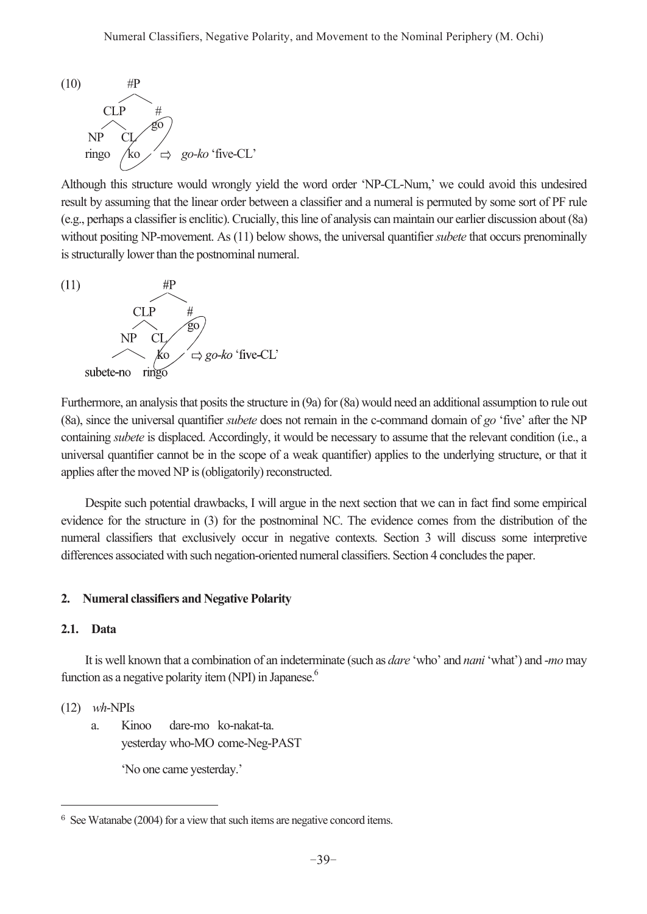

Although this structure would wrongly yield the word order 'NP-CL-Num,' we could avoid this undesired result by assuming that the linear order between a classifier and a numeral is permuted by some sort of PF rule (e.g., perhaps a classifier is enclitic). Crucially, this line of analysis can maintain our earlier discussion about (8a) without positing NP-movement. As (11) below shows, the universal quantifier *subete* that occurs prenominally is structurally lower than the postnominal numeral.



Furthermore, an analysis that posits the structure in (9a) for (8a) would need an additional assumption to rule out (8a), since the universal quantifier *subete* does not remain in the c-command domain of *go* 'five' after the NP containing *subete* is displaced. Accordingly, it would be necessary to assume that the relevant condition (i.e., a universal quantifier cannot be in the scope of a weak quantifier) applies to the underlying structure, or that it applies after the moved NP is (obligatorily) reconstructed.

 Despite such potential drawbacks, I will argue in the next section that we can in fact find some empirical evidence for the structure in (3) for the postnominal NC. The evidence comes from the distribution of the numeral classifiers that exclusively occur in negative contexts. Section 3 will discuss some interpretive differences associated with such negation-oriented numeral classifiers. Section 4 concludes the paper.

### **2. Numeral classifiers and Negative Polarity**

## **2.1. Data**

 It is well known that a combination of an indeterminate (such as *dare* 'who' and *nani* 'what') and -*mo* may function as a negative polarity item (NPI) in Japanese.<sup>6</sup>

### (12) *wh*-NPIs

 $\overline{a}$ 

 a. Kinoo dare-mo ko -nakat-ta. yesterday who-MO come-Neg-PAST

'No one came yesterday.'

<sup>6</sup> See Watanabe (2004) for a view that such items are negative concord items.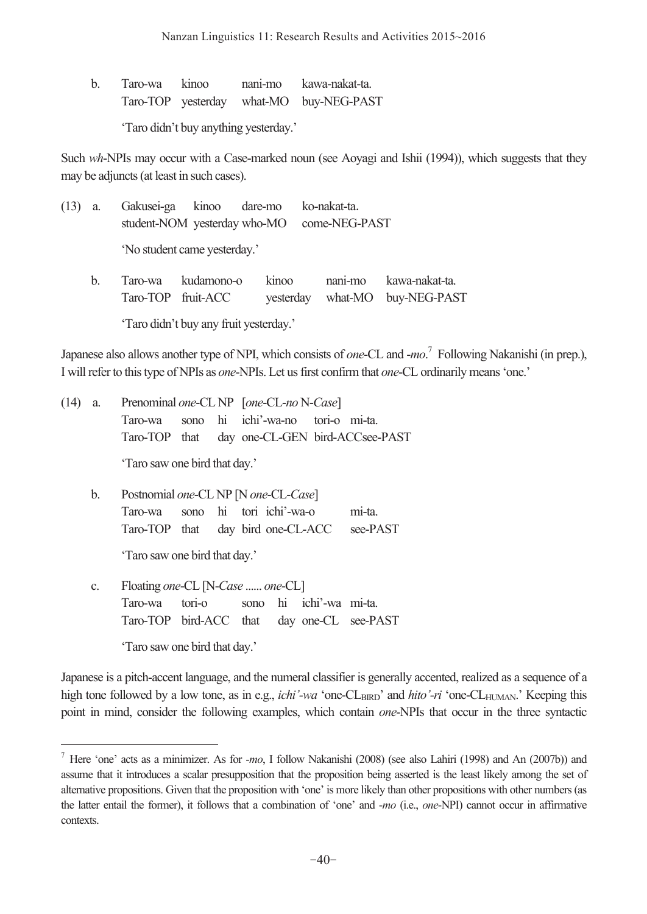| Taro-wa kinoo |  | nani-mo kawa-nakat-ta.                  |
|---------------|--|-----------------------------------------|
|               |  | Taro-TOP yesterday what-MO buy-NEG-PAST |
|               |  |                                         |

'Taro didn't buy anything yesterday.'

Such *wh*-NPIs may occur with a Case-marked noun (see Aoyagi and Ishii (1994)), which suggests that they may be adjuncts (at least in such cases).

| $(13)$ a. |                                          |       | Gakusei-ga kinoo dare-mo ko-nakat-ta.<br>student-NOM yesterday who-MO come-NEG-PAST |                                                          |
|-----------|------------------------------------------|-------|-------------------------------------------------------------------------------------|----------------------------------------------------------|
|           | 'No student came yesterday.'             |       |                                                                                     |                                                          |
| b.        | Taro-wa kudamono-o<br>Taro-TOP fruit-ACC | kinoo |                                                                                     | nani-mo kawa-nakat-ta.<br>yesterday what-MO buy-NEG-PAST |

'Taro didn't buy any fruit yesterday.'

Japanese also allows another type of NPI, which consists of *one*-CL and -*mo*. 7 Following Nakanishi (in prep.), I will refer to this type of NPIs as *one*-NPIs. Let us first confirm that *one*-CL ordinarily means 'one.'

|  | (14) a. Prenominal one-CL NP [one-CL-no N-Case] |  |  |                                               |  |  |  |  |
|--|-------------------------------------------------|--|--|-----------------------------------------------|--|--|--|--|
|  |                                                 |  |  | Taro-wa sono hi ichi'-wa-no tori-o mi-ta.     |  |  |  |  |
|  |                                                 |  |  | Taro-TOP that day one-CL-GEN bird-ACCsee-PAST |  |  |  |  |
|  | 'Taro saw one bird that day.'                   |  |  |                                               |  |  |  |  |

 b. Postnomial *one*-CL NP [N *one*-CL-*Case*] Taro-wa sono hi tori ichi'-wa-o mi-ta. Taro-TOP that day bird one-CL-ACC see-PAST

'Taro saw one bird that day.'

 c. Floating *one*-CL [N-*Case* ...... *one*-CL] Taro-wa tori-o sono hi ichi'-wa mi-ta. Taro-TOP bird-ACC that day one-CL see-PAST

'Taro saw one bird that day.'

 $\overline{a}$ 

Japanese is a pitch-accent language, and the numeral classifier is generally accented, realized as a sequence of a high tone followed by a low tone, as in e.g., *ichi'-wa* 'one-CL<sub>BIRD</sub>' and *hito'-ri* 'one-CL<sub>HUMAN</sub>.' Keeping this point in mind, consider the following examples, which contain *one*-NPIs that occur in the three syntactic

<sup>7</sup> Here 'one' acts as a minimizer. As for -*mo*, I follow Nakanishi (2008) (see also Lahiri (1998) and An (2007b)) and assume that it introduces a scalar presupposition that the proposition being asserted is the least likely among the set of alternative propositions. Given that the proposition with 'one' is more likely than other propositions with other numbers (as the latter entail the former), it follows that a combination of 'one' and -*mo* (i.e., *one*-NPI) cannot occur in affirmative contexts.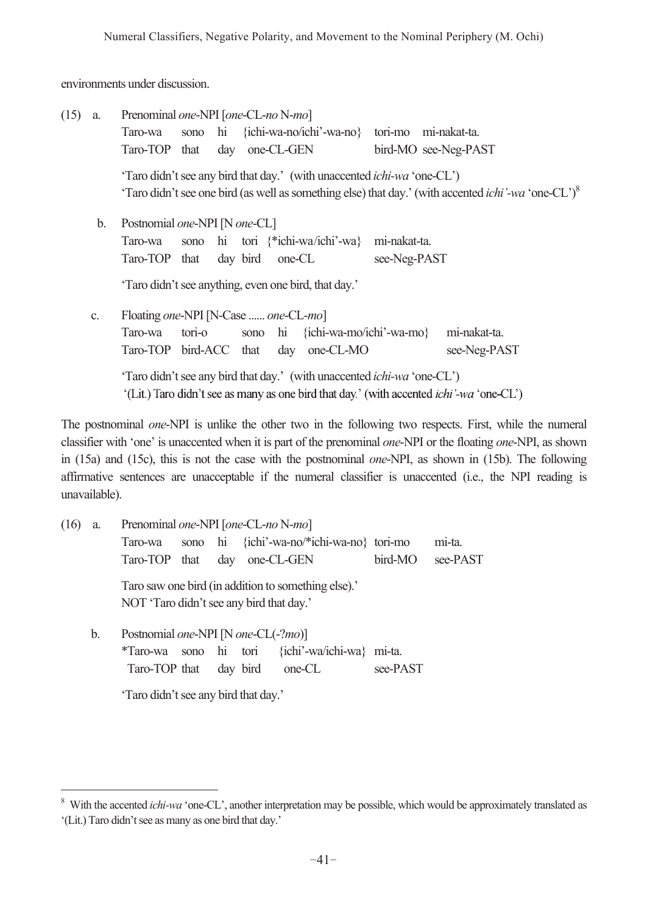environments under discussion.

| (15)                                            | a.             | Prenominal one-NPI [one-CL-no N-mo]<br>Taro-wa<br>Taro-TOP                                                                                                                         | that<br>day | one-CL-GEN | sono hi {ichi-wa-no/ichi'-wa-no} tori-mo mi-nakat-ta. |              | bird-MO see-Neg-PAST                                                                                                   |  |  |
|-------------------------------------------------|----------------|------------------------------------------------------------------------------------------------------------------------------------------------------------------------------------|-------------|------------|-------------------------------------------------------|--------------|------------------------------------------------------------------------------------------------------------------------|--|--|
|                                                 |                | 'Taro didn't see any bird that day.' (with unaccented <i>ichi-wa</i> 'one-CL')                                                                                                     |             |            |                                                       |              | "Taro didn't see one bird (as well as something else) that day.' (with accented <i>ichi'-wa</i> 'one-CL') <sup>8</sup> |  |  |
| Postnomial one-NPI [N one-CL]<br>$\mathbf{b}$ . |                |                                                                                                                                                                                    |             |            |                                                       |              |                                                                                                                        |  |  |
|                                                 |                | Taro-wa                                                                                                                                                                            | sono        |            | hi tori {*ichi-wa/ichi'-wa}                           | mi-nakat-ta. |                                                                                                                        |  |  |
|                                                 |                | Taro-TOP that                                                                                                                                                                      | day bird    | one-CL     |                                                       | see-Neg-PAST |                                                                                                                        |  |  |
|                                                 |                | 'Taro didn't see anything, even one bird, that day.'                                                                                                                               |             |            |                                                       |              |                                                                                                                        |  |  |
|                                                 | C <sub>1</sub> | Floating one-NPI [N-Case  one-CL-mo]                                                                                                                                               |             |            |                                                       |              |                                                                                                                        |  |  |
|                                                 |                | Taro-wa                                                                                                                                                                            | tori-o      |            | sono hi {ichi-wa-mo/ichi'-wa-mo}                      |              | mi-nakat-ta.                                                                                                           |  |  |
|                                                 |                | Taro-TOP bird-ACC that                                                                                                                                                             |             |            | day one-CL-MO                                         |              | see-Neg-PAST                                                                                                           |  |  |
|                                                 |                | 'Taro didn't see any bird that day.' (with unaccented <i>ichi-wa</i> 'one-CL')<br>'(Lit.) Taro didn't see as many as one bird that day.' (with accented <i>ichi</i> '-wa 'one-CL') |             |            |                                                       |              |                                                                                                                        |  |  |

The postnominal *one*-NPI is unlike the other two in the following two respects. First, while the numeral classifier with 'one' is unaccented when it is part of the prenominal *one*-NPI or the floating *one*-NPI, as shown in (15a) and (15c), this is not the case with the postnominal *one*-NPI, as shown in (15b). The following affirmative sentences are unacceptable if the numeral classifier is unaccented (i.e., the NPI reading is unavailable).

| (16) | a. | Prenominal one-NPI [one-CL-no N-mo]                                                                                                             |  |                   |  |                                           |          |        |  |  |
|------|----|-------------------------------------------------------------------------------------------------------------------------------------------------|--|-------------------|--|-------------------------------------------|----------|--------|--|--|
|      |    | Taro-wa                                                                                                                                         |  |                   |  | sono hi {ichi'-wa-no/*ichi-wa-no} tori-mo |          | mi-ta. |  |  |
|      |    | Taro-TOP that                                                                                                                                   |  | day<br>one-CL-GEN |  | bird-MO                                   | see-PAST |        |  |  |
|      |    | Taro saw one bird (in addition to something else).'<br>NOT 'Taro didn't see any bird that day.'                                                 |  |                   |  |                                           |          |        |  |  |
|      | b. | Postnomial one-NPI [N one-CL(-?mo)]<br>{ichi'-wa/ichi-wa} mi-ta.<br>sono hi tori<br>*Taro-wa<br>see-PAST<br>Taro-TOP that<br>day bird<br>one-CL |  |                   |  |                                           |          |        |  |  |
|      |    |                                                                                                                                                 |  |                   |  |                                           |          |        |  |  |

'Taro didn't see any bird that day.'

 $\overline{a}$ 

<sup>&</sup>lt;sup>8</sup> With the accented *ichi-wa* 'one-CL', another interpretation may be possible, which would be approximately translated as '(Lit.) Taro didn't see as many as one bird that day.'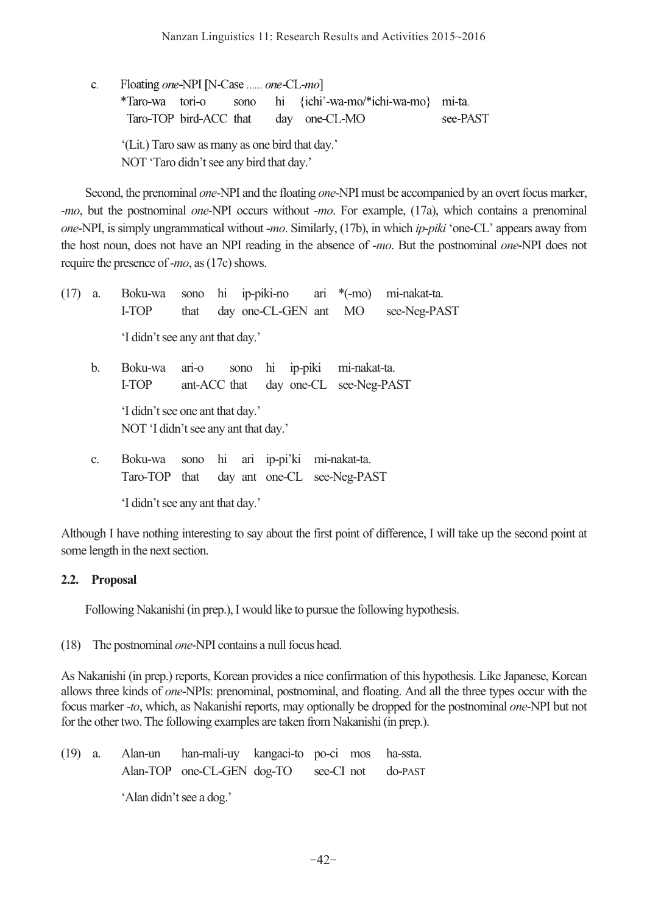c. Floating *one*-NPI [N-Case ...... *one*-CL-*mo*] \*Taro-wa tori-o sono hi {ichi'-wa-mo/\*ichi-wa-mo} mi-ta. Taro-TOP bird-ACC that day one-CL-MO see-PAST '(Lit.) Taro saw as many as one bird that day.' NOT 'Taro didn't see any bird that day.'

 Second, the prenominal *one*-NPI and the floating *one*-NPI must be accompanied by an overt focus marker, -*mo*, but the postnominal *one*-NPI occurs without -*mo*. For example, (17a), which contains a prenominal *one*-NPI, is simply ungrammatical without -*mo*. Similarly, (17b), in which *ip-piki* 'one-CL' appears away from the host noun, does not have an NPI reading in the absence of -*mo*. But the postnominal *one*-NPI does not require the presence of -*mo*, as (17c) shows.

| (17) | a. | Boku-wa                              |         |              |  |  |  | sono hi ip-piki-no ari $*(-mo)$ | mi-nakat-ta. |  |
|------|----|--------------------------------------|---------|--------------|--|--|--|---------------------------------|--------------|--|
|      |    | I-TOP                                | that    |              |  |  |  | day one-CL-GEN ant MO           | see-Neg-PAST |  |
|      |    | 'I didn't see any ant that day.'     |         |              |  |  |  |                                 |              |  |
|      | b. | Boku-wa                              | ari-o   |              |  |  |  | sono hi ip-piki mi-nakat-ta.    |              |  |
|      |    | I-TOP                                |         | ant-ACC that |  |  |  | day one-CL see-Neg-PAST         |              |  |
|      |    | 'I didn't see one ant that day.'     |         |              |  |  |  |                                 |              |  |
|      |    | NOT 'I didn't see any ant that day.' |         |              |  |  |  |                                 |              |  |
|      | C. | Boku-wa                              | sono hi |              |  |  |  | ari ip-pi'ki mi-nakat-ta.       |              |  |

 Taro-TOP that day ant one-CL see-Neg-PAST 'I didn't see any ant that day.'

Although I have nothing interesting to say about the first point of difference, I will take up the second point at some length in the next section.

# **2.2. Proposal**

Following Nakanishi (in prep.), I would like to pursue the following hypothesis.

(18) The postnominal *one*-NPI contains a null focus head.

As Nakanishi (in prep.) reports, Korean provides a nice confirmation of this hypothesis. Like Japanese, Korean allows three kinds of *one*-NPIs: prenominal, postnominal, and floating. And all the three types occur with the focus marker -*to*, which, as Nakanishi reports, may optionally be dropped for the postnominal *one*-NPI but not for the other two. The following examples are taken from Nakanishi (in prep.).

(19) a. Alan-un han-mali-uy kangaci-to po-ci mos ha-ssta. Alan-TOP one-CL-GEN dog-TO see-CI not do-PAST 'Alan didn't see a dog.'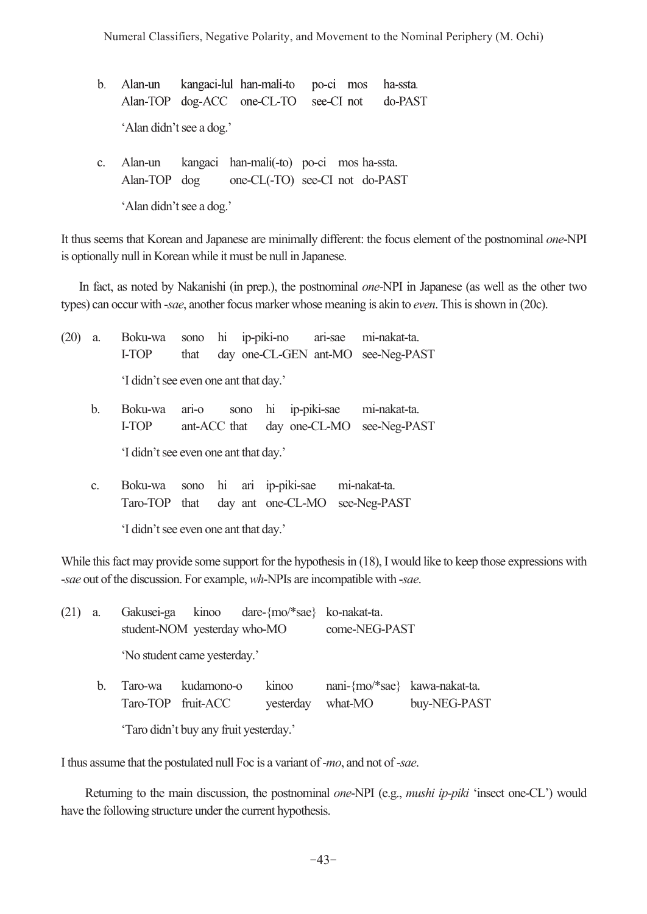Numeral Classifiers, Negative Polarity, and Movement to the Nominal Periphery (M. Ochi)

- b. Alan-un kangaci-lul han-mali-to po-ci mos ha-ssta. Alan-TOP dog-ACC one-CL-TO see-CI not do-PAST 'Alan didn't see a dog.'
- c. Alan-un kangaci han-mali(-to) po-ci mos ha-ssta. Alan-TOP dog one-CL(-TO) see-CI not do-PAST

'Alan didn't see a dog.'

It thus seems that Korean and Japanese are minimally different: the focus element of the postnominal *one*-NPI is optionally null in Korean while it must be null in Japanese.

 In fact, as noted by Nakanishi (in prep.), the postnominal *one*-NPI in Japanese (as well as the other two types) can occur with -*sae*, another focus marker whose meaning is akin to *even*. This is shown in (20c).

| (20) | a. | Boku-wa<br>I-TOP                      | that      |  |                                                                   |                                              |  |              | sono hi ip-piki-no ari-sae mi-nakat-ta.<br>day one-CL-GEN ant-MO see-Neg-PAST |
|------|----|---------------------------------------|-----------|--|-------------------------------------------------------------------|----------------------------------------------|--|--------------|-------------------------------------------------------------------------------|
|      |    | 'I didn't see even one ant that day.' |           |  |                                                                   |                                              |  |              |                                                                               |
|      | b. | Boku-wa<br>I-TOP                      | $\arccos$ |  | sono hi ip-piki-sae<br>day one-CL-MO see-Neg-PAST<br>ant-ACC that |                                              |  | mi-nakat-ta. |                                                                               |
|      |    | 'I didn't see even one ant that day.' |           |  |                                                                   |                                              |  |              |                                                                               |
|      | C. | Boku-wa<br>Taro-TOP that              |           |  |                                                                   | sono hi ari ip-piki-sae<br>day ant one-CL-MO |  |              | mi-nakat-ta.<br>see-Neg-PAST                                                  |
|      |    | 'I didn't see even one ant that day.' |           |  |                                                                   |                                              |  |              |                                                                               |

While this fact may provide some support for the hypothesis in (18), I would like to keep those expressions with -*sae* out of the discussion. For example, *wh*-NPIs are incompatible with -*sae*.

| $(21)$ a. |    |                              |                              | Gakusei-ga kinoo dare-{mo/*sae} ko-nakat-ta. |                               |              |  |  |  |  |  |
|-----------|----|------------------------------|------------------------------|----------------------------------------------|-------------------------------|--------------|--|--|--|--|--|
|           |    |                              | student-NOM yesterday who-MO |                                              | come-NEG-PAST                 |              |  |  |  |  |  |
|           |    | 'No student came yesterday.' |                              |                                              |                               |              |  |  |  |  |  |
|           | b. | Taro-wa                      | kudamono-o                   | kinoo                                        | nani-{mo/*sae} kawa-nakat-ta. |              |  |  |  |  |  |
|           |    |                              | Taro-TOP fruit-ACC           | vesterday                                    | what-MO                       | buy-NEG-PAST |  |  |  |  |  |

'Taro didn't buy any fruit yesterday.'

I thus assume that the postulated null Foc is a variant of -*mo*, and not of -*sae*.

 Returning to the main discussion, the postnominal *one*-NPI (e.g., *mushi ip-piki* 'insect one-CL') would have the following structure under the current hypothesis.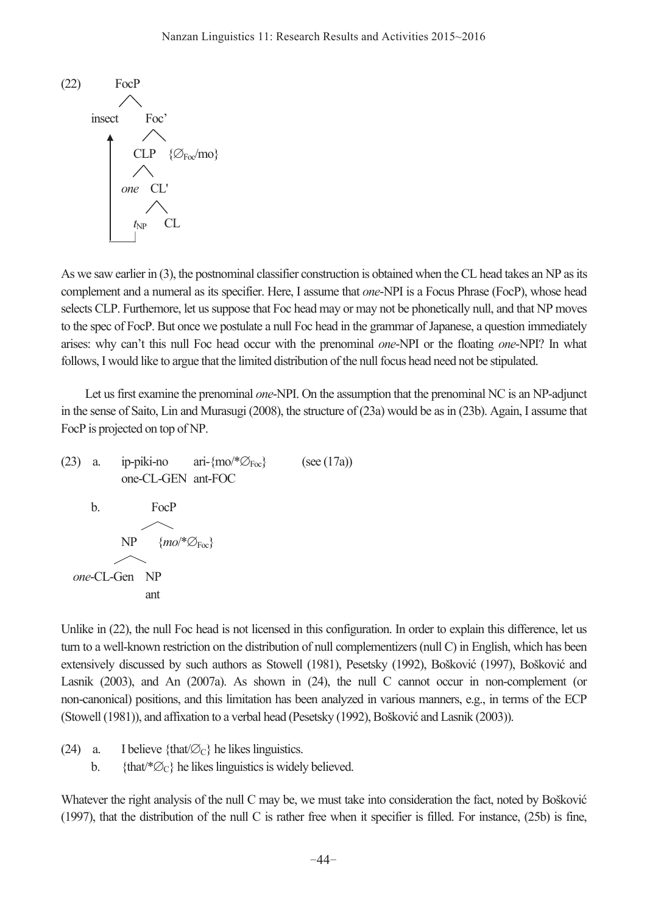

As we saw earlier in (3), the postnominal classifier construction is obtained when the CL head takes an NP as its complement and a numeral as its specifier. Here, I assume that *one*-NPI is a Focus Phrase (FocP), whose head selects CLP. Furthemore, let us suppose that Foc head may or may not be phonetically null, and that NP moves to the spec of FocP. But once we postulate a null Foc head in the grammar of Japanese, a question immediately arises: why can't this null Foc head occur with the prenominal *one*-NPI or the floating *one*-NPI? In what follows, I would like to argue that the limited distribution of the null focus head need not be stipulated.

 Let us first examine the prenominal *one*-NPI. On the assumption that the prenominal NC is an NP-adjunct in the sense of Saito, Lin and Murasugi (2008), the structure of (23a) would be as in (23b). Again, I assume that FocP is projected on top of NP.

(23) a. ip-piki-no ari- ${~\text{m0}^{\prime*}\mathcal{O}_{\text{Foc}}}$  (see (17a)) one-CL-GEN ant-FOC b. FocP  $NP$  {*mo*<sup>\*</sup> $\varnothing$ <sub>Foc</sub>}  *one*-CL-Gen NP ant

Unlike in (22), the null Foc head is not licensed in this configuration. In order to explain this difference, let us turn to a well-known restriction on the distribution of null complementizers (null C) in English, which has been extensively discussed by such authors as Stowell (1981), Pesetsky (1992), Bošković (1997), Bošković and Lasnik (2003), and An (2007a). As shown in (24), the null C cannot occur in non-complement (or non-canonical) positions, and this limitation has been analyzed in various manners, e.g., in terms of the ECP (Stowell (1981)), and affixation to a verbal head (Pesetsky (1992), Bošković and Lasnik (2003)).

- (24) a. I believe {that/ $\varnothing$ c} he likes linguistics.
	- b. {that/\* $\varnothing$ c} he likes linguistics is widely believed.

Whatever the right analysis of the null C may be, we must take into consideration the fact, noted by Bošković (1997), that the distribution of the null C is rather free when it specifier is filled. For instance, (25b) is fine,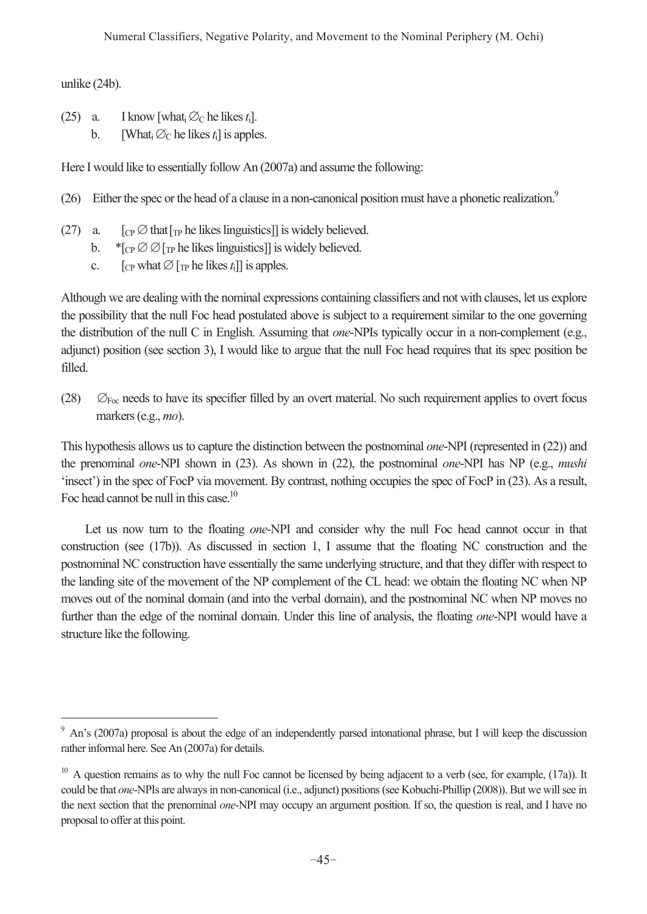unlike (24b).

 $\overline{a}$ 

- (25) a. I know [what,  $\varnothing_C$  he likes  $t_i$ ].
	- b. [What<sub>i</sub>  $\varnothing$ <sub>C</sub> he likes  $t_i$ ] is apples.

Here I would like to essentially follow An (2007a) and assume the following:

- (26) Either the spec or the head of a clause in a non-canonical position must have a phonetic realization.<sup>9</sup>
- (27) a.  $[\text{Cp} \oslash \text{that} \text{F}_{\text{TP}}]$  he likes linguistics] is widely believed.
	- b.  $*_{\text{CP}} \oslash \oslash_{\text{TP}}$  he likes linguistics]] is widely believed.
	- c.  $[\text{CP}$  what  $\varnothing$   $[\text{TP}$  he likes  $t_i]$  is apples.

Although we are dealing with the nominal expressions containing classifiers and not with clauses, let us explore the possibility that the null Foc head postulated above is subject to a requirement similar to the one governing the distribution of the null C in English. Assuming that *one*-NPIs typically occur in a non-complement (e.g., adjunct) position (see section 3), I would like to argue that the null Foc head requires that its spec position be filled.

(28)  $\oslash$  F<sub>oc</sub> needs to have its specifier filled by an overt material. No such requirement applies to overt focus markers (e.g., *mo*).

This hypothesis allows us to capture the distinction between the postnominal *one*-NPI (represented in (22)) and the prenominal *one*-NPI shown in (23). As shown in (22), the postnominal *one*-NPI has NP (e.g., *mushi* 'insect') in the spec of FocP via movement. By contrast, nothing occupies the spec of FocP in (23). As a result, Foc head cannot be null in this case.<sup>10</sup>

 Let us now turn to the floating *one*-NPI and consider why the null Foc head cannot occur in that construction (see (17b)). As discussed in section 1, I assume that the floating NC construction and the postnominal NC construction have essentially the same underlying structure, and that they differ with respect to the landing site of the movement of the NP complement of the CL head: we obtain the floating NC when NP moves out of the nominal domain (and into the verbal domain), and the postnominal NC when NP moves no further than the edge of the nominal domain. Under this line of analysis, the floating *one*-NPI would have a structure like the following.

<sup>&</sup>lt;sup>9</sup> An's (2007a) proposal is about the edge of an independently parsed intonational phrase, but I will keep the discussion rather informal here. See An (2007a) for details.

 $10$  A question remains as to why the null Foc cannot be licensed by being adjacent to a verb (see, for example,  $(17a)$ ). It could be that *one*-NPIs are always in non-canonical (i.e., adjunct) positions (see Kobuchi-Phillip (2008)). But we will see in the next section that the prenominal *one*-NPI may occupy an argument position. If so, the question is real, and I have no proposal to offer at this point.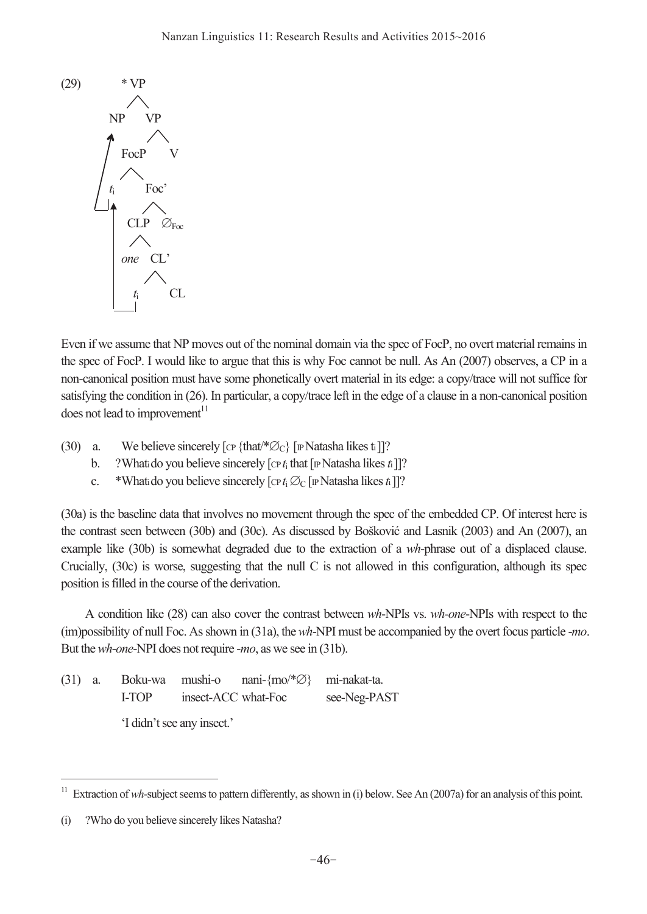

Even if we assume that NP moves out of the nominal domain via the spec of FocP, no overt material remains in the spec of FocP. I would like to argue that this is why Foc cannot be null. As An (2007) observes, a CP in a non-canonical position must have some phonetically overt material in its edge: a copy/trace will not suffice for satisfying the condition in (26). In particular, a copy/trace left in the edge of a clause in a non-canonical position does not lead to improvement $11$ 

- (30) a. We believe sincerely [cp {that/ $\mathscr{O}_C$ } [IP Natasha likes ti]]?
	- b. ? What ido you believe sincerely  $[\text{CP} t_i \text{ that } [\text{IP} \text{Natasha likes } t_i]]$ ?
	- c. \* Whati do you believe sincerely  $[\text{cr } t_i \varnothing_C]$  [IP Natasha likes *t*<sub>1</sub>]?

(30a) is the baseline data that involves no movement through the spec of the embedded CP. Of interest here is the contrast seen between (30b) and (30c). As discussed by Bošković and Lasnik (2003) and An (2007), an example like (30b) is somewhat degraded due to the extraction of a *wh*-phrase out of a displaced clause. Crucially, (30c) is worse, suggesting that the null C is not allowed in this configuration, although its spec position is filled in the course of the derivation.

 A condition like (28) can also cover the contrast between *wh*-NPIs vs. *wh-one*-NPIs with respect to the (im)possibility of null Foc. As shown in (31a), the *wh*-NPI must be accompanied by the overt focus particle -*mo*. But the *wh*-*one*-NPI does not require -*mo*, as we see in (31b).

(31) a. Boku-wa mushi-o nani-{mo/\*∅} mi-nakat-ta. I-TOP insect-ACC what-Foc see-Neg-PAST 'I didn't see any insect.'

 $\overline{a}$ 

<sup>&</sup>lt;sup>11</sup> Extraction of *wh*-subject seems to pattern differently, as shown in (i) below. See An (2007a) for an analysis of this point.

<sup>(</sup>i) ?Who do you believe sincerely likes Natasha?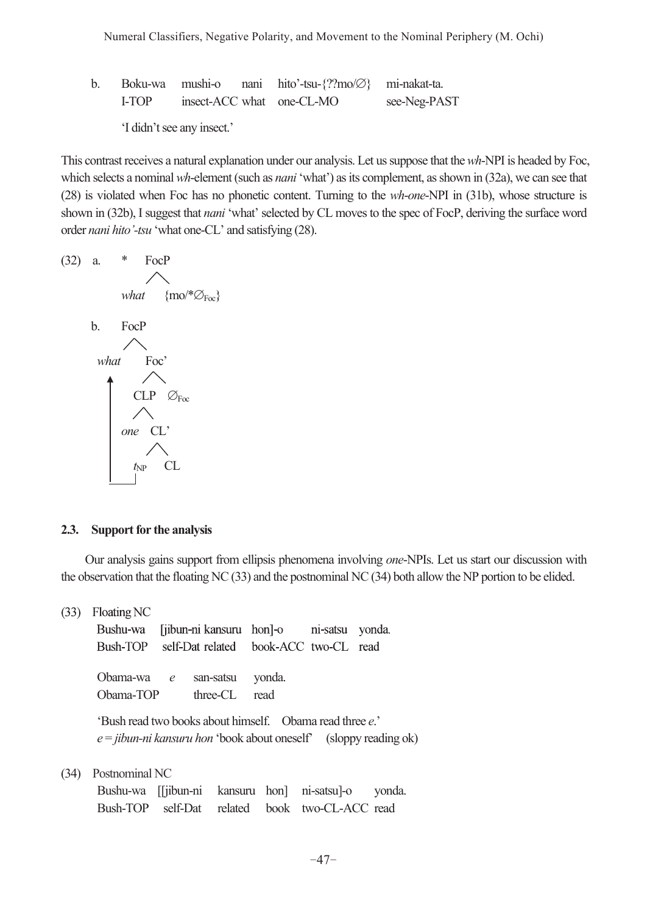b. Boku-wa mushi-o nani hito'-tsu-{??mo/∅} mi-nakat-ta. I-TOP insect-ACC what one-CL-MO see-Neg-PAST

'I didn't see any insect.'

This contrast receives a natural explanation under our analysis. Let us suppose that the *wh*-NPI is headed by Foc, which selects a nominal *wh*-element (such as *nani* 'what') as its complement, as shown in (32a), we can see that (28) is violated when Foc has no phonetic content. Turning to the *wh*-*one*-NPI in (31b), whose structure is shown in (32b), I suggest that *nani* 'what' selected by CL moves to the spec of FocP, deriving the surface word order *nani hito'-tsu* 'what one-CL' and satisfying (28).

(32) a. \* FocP  
\nwhat {mo/\*
$$
\varnothing_{Foc}
$$
}  
\nb. FocP  
\nwhat Foc'  
\nCLP  $\varnothing_{Foc}$   
\none CL'  
\n $t_{NP}$  CL

### **2.3. Support for the analysis**

 Our analysis gains support from ellipsis phenomena involving *one*-NPIs. Let us start our discussion with the observation that the floating NC (33) and the postnominal NC (34) both allow the NP portion to be elided.

(33) Floating NC

 Bushu-wa [jibun-ni kansuru hon]-o ni-satsu yonda. Bush-TOP self-Dat related book-ACC two-CL read Obama-wa *e* san-satsu yonda. Obama-TOP three-CL read 'Bush read two books about himself. Obama read three *e*.' *e* = *jibun-ni kansuru hon* 'book about oneself' (sloppy reading ok) (34) Postnominal NC Bushu-wa [[jibun-ni kansuru hon] ni-satsu]-o yonda.

|  |  | Bushu-wa   10un-ni kansuru hon  ni-satsu -o yonda |  |
|--|--|---------------------------------------------------|--|
|  |  | Bush-TOP self-Dat related book two-CL-ACC read    |  |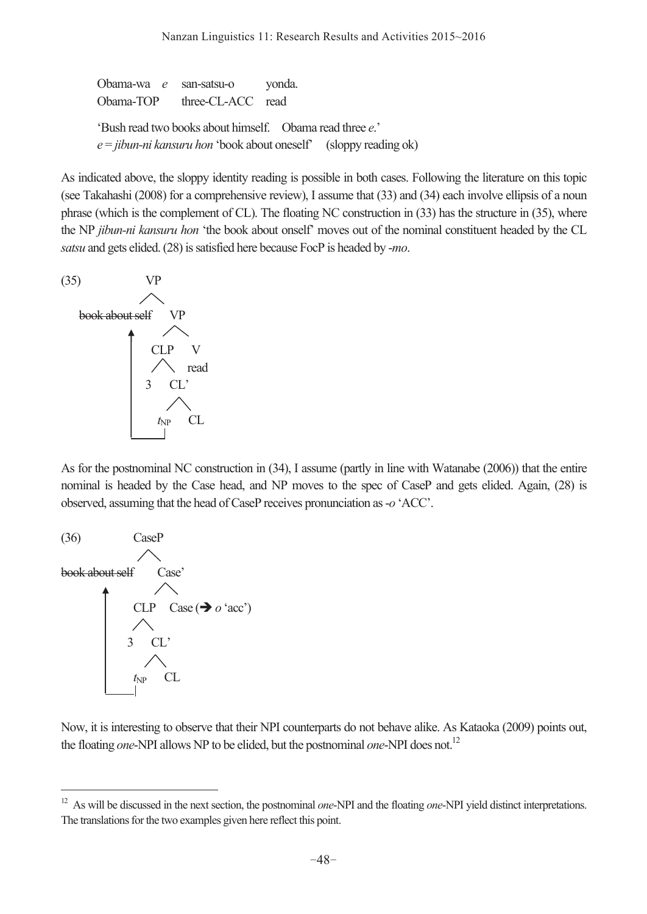Obama-wa *e* san-satsu-o yonda. Obama-TOP three-CL-ACC read 'Bush read two books about himself. Obama read three *e*.' *e* = *jibun-ni kansuru hon* 'book about oneself' (sloppy reading ok)

As indicated above, the sloppy identity reading is possible in both cases. Following the literature on this topic (see Takahashi (2008) for a comprehensive review), I assume that (33) and (34) each involve ellipsis of a noun phrase (which is the complement of CL). The floating NC construction in (33) has the structure in (35), where the NP *jibun-ni kansuru hon* 'the book about onself' moves out of the nominal constituent headed by the CL *satsu* and gets elided. (28) is satisfied here because FocP is headed by -*mo*.



As for the postnominal NC construction in (34), I assume (partly in line with Watanabe (2006)) that the entire nominal is headed by the Case head, and NP moves to the spec of CaseP and gets elided. Again, (28) is observed, assuming that the head of CaseP receives pronunciation as -*o* 'ACC'.



 $\overline{a}$ 

Now, it is interesting to observe that their NPI counterparts do not behave alike. As Kataoka (2009) points out, the floating *one*-NPI allows NP to be elided, but the postnominal *one*-NPI does not.<sup>12</sup>

<sup>&</sup>lt;sup>12</sup> As will be discussed in the next section, the postnominal *one*-NPI and the floating *one*-NPI yield distinct interpretations. The translations for the two examples given here reflect this point.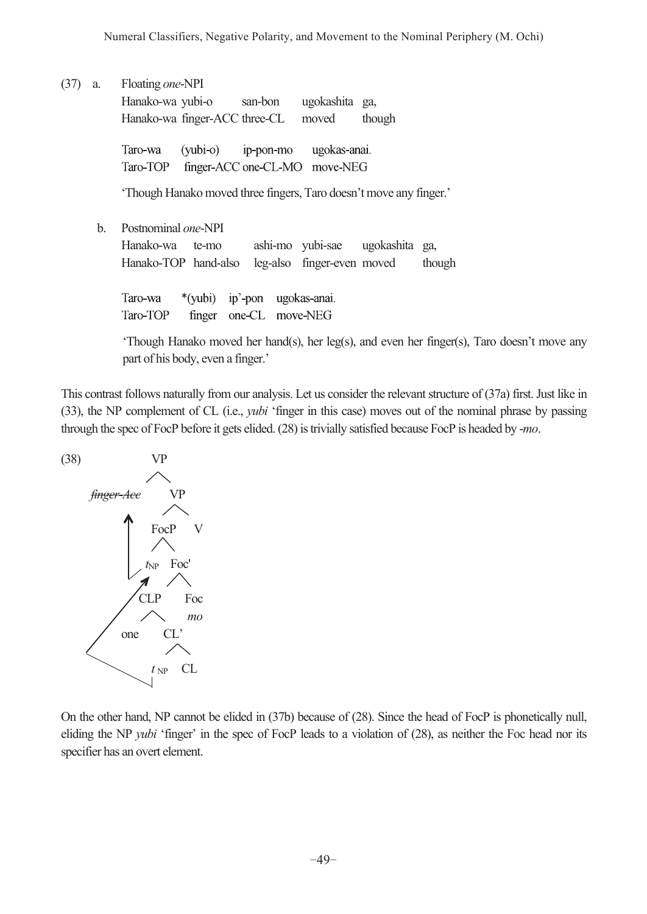(37) a. Floating *one*-NPI

 Hanako-wa yubi-o san-bon ugokashita ga, Hanako-wa finger-ACC three-CL moved though

 Taro-wa (yubi-o) ip-pon-mo ugokas-anai. Taro-TOP finger-ACC one-CL-MO move-NEG

'Though Hanako moved three fingers, Taro doesn't move any finger.'

b. Postnominal *one*-NPI

 Hanako-wa te-mo ashi-mo yubi-sae ugokashita ga, Hanako-TOP hand-also leg-also finger-even moved though

 Taro-wa \*(yubi) ip'-pon ugokas-anai. Taro-TOP finger one-CL move-NEG

 'Though Hanako moved her hand(s), her leg(s), and even her finger(s), Taro doesn't move any part of his body, even a finger.'

This contrast follows naturally from our analysis. Let us consider the relevant structure of (37a) first. Just like in (33), the NP complement of CL (i.e., *yubi* 'finger in this case) moves out of the nominal phrase by passing through the spec of FocP before it gets elided. (28) is trivially satisfied because FocP is headed by -*mo*.



On the other hand, NP cannot be elided in (37b) because of (28). Since the head of FocP is phonetically null, eliding the NP *yubi* 'finger' in the spec of FocP leads to a violation of (28), as neither the Foc head nor its specifier has an overt element.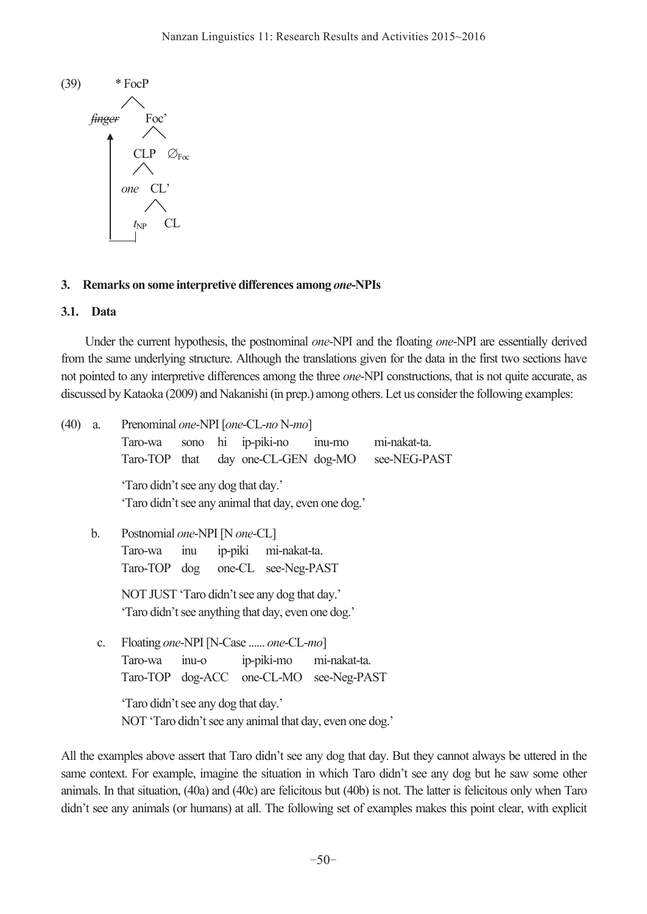

## **3. Remarks on some interpretive differences among** *one***-NPIs**

### **3.1. Data**

 Under the current hypothesis, the postnominal *one*-NPI and the floating *one*-NPI are essentially derived from the same underlying structure. Although the translations given for the data in the first two sections have not pointed to any interpretive differences among the three *one*-NPI constructions, that is not quite accurate, as discussed by Kataoka (2009) and Nakanishi (in prep.) among others. Let us consider the following examples:

| (40) | a. | Prenominal one-NPI [one-CL-no N-mo]                  |                                     |                                                          |                          |                         |              |  |  |  |  |
|------|----|------------------------------------------------------|-------------------------------------|----------------------------------------------------------|--------------------------|-------------------------|--------------|--|--|--|--|
|      |    | Taro-wa                                              | sono hi ip-piki-no                  |                                                          |                          | inu-mo                  | mi-nakat-ta. |  |  |  |  |
|      |    | Taro-TOP that day one-CL-GEN dog-MO                  |                                     |                                                          |                          |                         | see-NEG-PAST |  |  |  |  |
|      |    | 'Taro didn't see any dog that day.'                  |                                     |                                                          |                          |                         |              |  |  |  |  |
|      |    | 'Taro didn't see any animal that day, even one dog.' |                                     |                                                          |                          |                         |              |  |  |  |  |
|      | b. | Postnomial one-NPI [N one-CL]                        |                                     |                                                          |                          |                         |              |  |  |  |  |
|      |    | Taro-wa                                              |                                     |                                                          | inu ip-piki mi-nakat-ta. |                         |              |  |  |  |  |
|      |    | Taro-TOP dog one-CL see-Neg-PAST                     |                                     |                                                          |                          |                         |              |  |  |  |  |
|      |    | NOT JUST 'Taro didn't see any dog that day.'         |                                     |                                                          |                          |                         |              |  |  |  |  |
|      |    | 'Taro didn't see anything that day, even one dog.'   |                                     |                                                          |                          |                         |              |  |  |  |  |
|      | C. | Floating one-NPI [N-Case  one-CL-mo]                 |                                     |                                                          |                          |                         |              |  |  |  |  |
|      |    | Taro-wa                                              | $inu-o$                             |                                                          |                          | ip-piki-mo mi-nakat-ta. |              |  |  |  |  |
|      |    | Taro-TOP dog-ACC one-CL-MO see-Neg-PAST              |                                     |                                                          |                          |                         |              |  |  |  |  |
|      |    |                                                      | 'Taro didn't see any dog that day.' |                                                          |                          |                         |              |  |  |  |  |
|      |    |                                                      |                                     | NOT 'Taro didn't see any animal that day, even one dog.' |                          |                         |              |  |  |  |  |

All the examples above assert that Taro didn't see any dog that day. But they cannot always be uttered in the same context. For example, imagine the situation in which Taro didn't see any dog but he saw some other animals. In that situation, (40a) and (40c) are felicitous but (40b) is not. The latter is felicitous only when Taro didn't see any animals (or humans) at all. The following set of examples makes this point clear, with explicit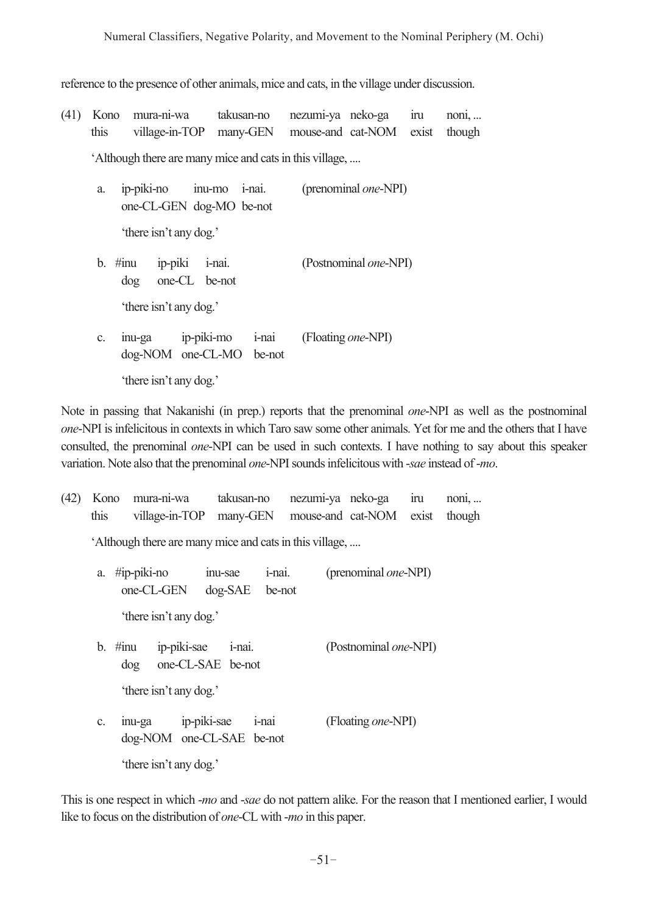reference to the presence of other animals, mice and cats, in the village under discussion.

(41) Kono mura-ni-wa takusan-no nezumi-ya neko-ga iru noni, ... this village-in-TOP many-GEN mouse-and cat-NOM exist though

'Although there are many mice and cats in this village, ....

| a. |    |                        | ip-piki-no inu-mo i-nai.<br>one-CL-GEN dog-MO be-not |       | (prenominal <i>one</i> -NPI)  |
|----|----|------------------------|------------------------------------------------------|-------|-------------------------------|
|    |    | 'there isn't any dog.' |                                                      |       |                               |
|    |    | $b.$ #inu<br>dog       | ip-piki i-nai.<br>one-CL be-not                      |       | (Postnominal <i>one</i> -NPI) |
|    |    | 'there isn't any dog.' |                                                      |       |                               |
|    | C. |                        | inu-ga ip-piki-mo<br>dog-NOM one-CL-MO be-not        | i-nai | (Floating <i>one</i> -NPI)    |
|    |    | 'there isn't any dog.' |                                                      |       |                               |

Note in passing that Nakanishi (in prep.) reports that the prenominal *one*-NPI as well as the postnominal *one*-NPI is infelicitous in contexts in which Taro saw some other animals. Yet for me and the others that I have consulted, the prenominal *one*-NPI can be used in such contexts. I have nothing to say about this speaker variation. Note also that the prenominal *one*-NPI sounds infelicitous with -*sae* instead of -*mo*.

| (42)                       |                                                         |                                                 |                            | Kono mura-ni-wa takusan-no<br>this village-in-TOP many-GEN |          |                              | nezumi-ya neko-ga<br>mouse-and cat-NOM | ıru<br>exist | $n$ oni,<br>though |
|----------------------------|---------------------------------------------------------|-------------------------------------------------|----------------------------|------------------------------------------------------------|----------|------------------------------|----------------------------------------|--------------|--------------------|
|                            | 'Although there are many mice and cats in this village, |                                                 |                            |                                                            |          |                              |                                        |              |                    |
|                            |                                                         | a. #ip-piki-no inu-sae<br>one-CL-GEN            | i-nai.<br>$dog-SAE$ be-not |                                                            |          | (prenominal <i>one</i> -NPI) |                                        |              |                    |
|                            |                                                         | 'there isn't any dog.'                          |                            |                                                            |          |                              |                                        |              |                    |
| b. #inu ip-piki-sae i-nai. |                                                         | dog one-CL-SAE be-not                           |                            |                                                            |          |                              | (Postnominal <i>one</i> -NPI)          |              |                    |
| 'there isn't any dog.'     |                                                         |                                                 |                            |                                                            |          |                              |                                        |              |                    |
|                            | $\mathbf{c}$ .                                          | inu-ga ip-piki-sae<br>dog-NOM one-CL-SAE be-not |                            |                                                            | $i$ -nai |                              | (Floating <i>one</i> -NPI)             |              |                    |
|                            |                                                         | 'there isn't any dog.'                          |                            |                                                            |          |                              |                                        |              |                    |

This is one respect in which -*mo* and -*sae* do not pattern alike. For the reason that I mentioned earlier, I would like to focus on the distribution of *one*-CL with -*mo* in this paper.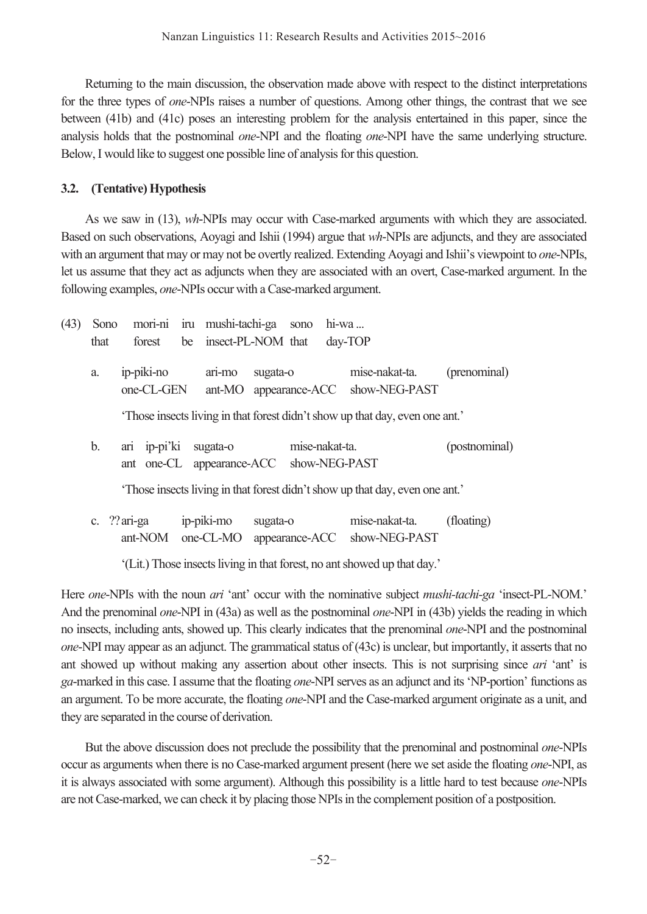Returning to the main discussion, the observation made above with respect to the distinct interpretations for the three types of *one*-NPIs raises a number of questions. Among other things, the contrast that we see between (41b) and (41c) poses an interesting problem for the analysis entertained in this paper, since the analysis holds that the postnominal *one*-NPI and the floating *one*-NPI have the same underlying structure. Below, I would like to suggest one possible line of analysis for this question.

# **3.2. (Tentative) Hypothesis**

 As we saw in (13), *wh*-NPIs may occur with Case-marked arguments with which they are associated. Based on such observations, Aoyagi and Ishii (1994) argue that *wh*-NPIs are adjuncts, and they are associated with an argument that may or may not be overtly realized. Extending Aoyagi and Ishii's viewpoint to *one*-NPIs, let us assume that they act as adjuncts when they are associated with an overt, Case-marked argument. In the following examples, *one*-NPIs occur with a Case-marked argument.

| (43) | Sono |                                                         | mori-ni iru mushi-tachi-ga sono |          |                | $hi-wa$ |                                                                              |               |
|------|------|---------------------------------------------------------|---------------------------------|----------|----------------|---------|------------------------------------------------------------------------------|---------------|
|      | that | forest                                                  | be insect-PL-NOM that           |          |                |         | $day-TOP$                                                                    |               |
|      | a.   | ip-piki-no<br>one-CL-GEN                                | ari-mo                          | sugata-o |                |         | mise-nakat-ta.<br>ant-MO appearance-ACC show-NEG-PAST                        | (prenominal)  |
|      |      |                                                         |                                 |          |                |         | 'Those insects living in that forest didn't show up that day, even one ant.' |               |
|      | b.   | ari ip-pi'ki<br>ant one-CL appearance-ACC show-NEG-PAST | sugata-o                        |          | mise-nakat-ta. |         |                                                                              | (postnominal) |
|      |      |                                                         |                                 |          |                |         | 'Those insects living in that forest didn't show up that day, even one ant.' |               |
|      |      | c. $??$ ari-ga                                          | ip-piki-mo                      | sugata-o |                |         | mise-nakat-ta.                                                               | (floating)    |

ant-NOM one-CL-MO appearance-ACC show-NEG-PAST

'(Lit.) Those insects living in that forest, no ant showed up that day.'

Here *one*-NPIs with the noun *ari* 'ant' occur with the nominative subject *mushi-tachi-ga* 'insect-PL-NOM.' And the prenominal *one*-NPI in (43a) as well as the postnominal *one*-NPI in (43b) yields the reading in which no insects, including ants, showed up. This clearly indicates that the prenominal *one*-NPI and the postnominal *one*-NPI may appear as an adjunct. The grammatical status of (43c) is unclear, but importantly, it asserts that no ant showed up without making any assertion about other insects. This is not surprising since *ari* 'ant' is *ga*-marked in this case. I assume that the floating *one*-NPI serves as an adjunct and its 'NP-portion' functions as an argument. To be more accurate, the floating *one*-NPI and the Case-marked argument originate as a unit, and they are separated in the course of derivation.

 But the above discussion does not preclude the possibility that the prenominal and postnominal *one*-NPIs occur as arguments when there is no Case-marked argument present (here we set aside the floating *one*-NPI, as it is always associated with some argument). Although this possibility is a little hard to test because *one*-NPIs are not Case-marked, we can check it by placing those NPIs in the complement position of a postposition.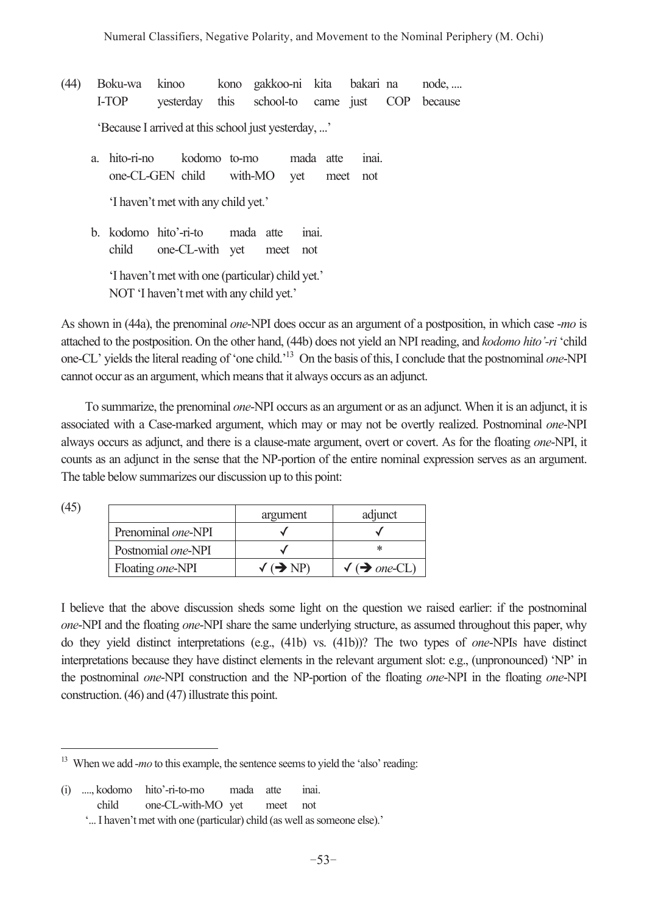- (44) Boku-wa kinoo kono gakkoo-ni kita bakari na node, .... I-TOP yesterday this school-to came just COP because 'Because I arrived at this school just yesterday, ...'
	- a. hito-ri-no kodomo to-mo mada atte inai. one-CL-GEN child with-MO yet meet not 'I haven't met with any child yet.'
	- b. kodomo hito'-ri-to mada atte inai. child one-CL-with yet meet not 'I haven't met with one (particular) child yet.'

NOT 'I haven't met with any child yet.'

As shown in (44a), the prenominal *one*-NPI does occur as an argument of a postposition, in which case -*mo* is attached to the postposition. On the other hand, (44b) does not yield an NPI reading, and *kodomo hito'-ri* 'child one-CL' yields the literal reading of 'one child.'13 On the basis of this, I conclude that the postnominal *one*-NPI cannot occur as an argument, which means that it always occurs as an adjunct.

 To summarize, the prenominal *one*-NPI occurs as an argument or as an adjunct. When it is an adjunct, it is associated with a Case-marked argument, which may or may not be overtly realized. Postnominal *one*-NPI always occurs as adjunct, and there is a clause-mate argument, overt or covert. As for the floating *one*-NPI, it counts as an adjunct in the sense that the NP-portion of the entire nominal expression serves as an argument. The table below summarizes our discussion up to this point:

(45)

 $\overline{a}$ 

|                            | argument                                      | adjunct                                           |
|----------------------------|-----------------------------------------------|---------------------------------------------------|
| Prenominal one-NPI         |                                               |                                                   |
| Postnomial <i>one</i> -NPI |                                               |                                                   |
| Floating one-NPI           | $\sqrt{\left( \rightarrow \text{NP} \right)}$ | $\sqrt{\left( \rightarrow \text{one-CL} \right)}$ |

I believe that the above discussion sheds some light on the question we raised earlier: if the postnominal *one*-NPI and the floating *one*-NPI share the same underlying structure, as assumed throughout this paper, why do they yield distinct interpretations (e.g., (41b) vs. (41b))? The two types of *one*-NPIs have distinct interpretations because they have distinct elements in the relevant argument slot: e.g., (unpronounced) 'NP' in the postnominal *one*-NPI construction and the NP-portion of the floating *one*-NPI in the floating *one*-NPI construction. (46) and (47) illustrate this point.

<sup>&</sup>lt;sup>13</sup> When we add *-mo* to this example, the sentence seems to yield the 'also' reading:

<sup>(</sup>i) ...., kodomo hito'-ri-to-mo mada atte inai. child one-CL-with-MO yet meet not

 <sup>&#</sup>x27;... I haven't met with one (particular) child (as well as someone else).'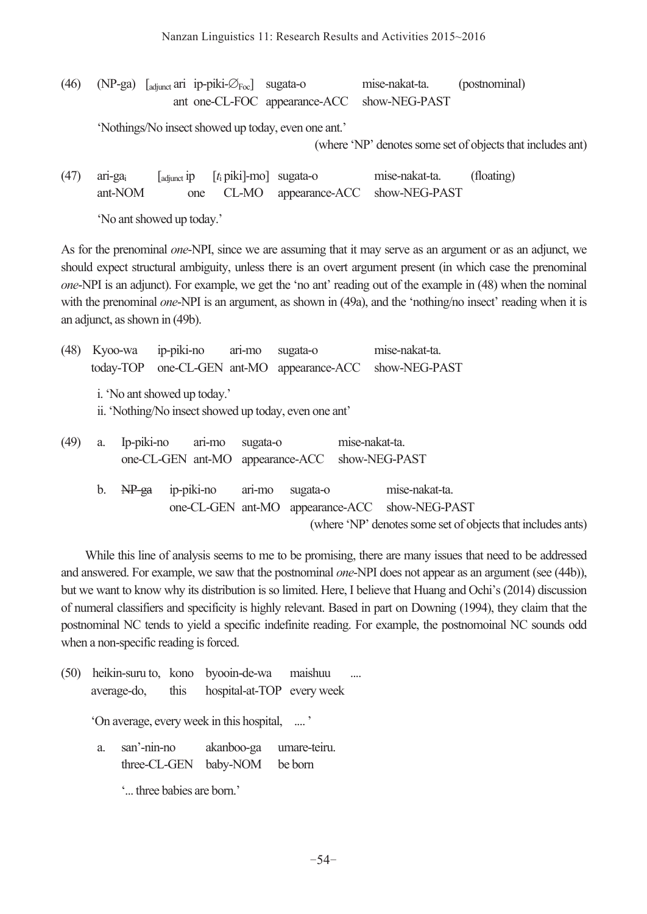Nanzan Linguistics 11: Research Results and Activities 2015~2016

|  | (46) (NP-ga) $\left[\text{adjunct} \text{ari } \text{ip-piki-}\varnothing_{\text{Foc}}\right]$ sugata-o | mise-nakat-ta.                              | (postnominal) |
|--|---------------------------------------------------------------------------------------------------------|---------------------------------------------|---------------|
|  |                                                                                                         | ant one-CL-FOC appearance-ACC show-NEG-PAST |               |

'Nothings/No insect showed up today, even one ant.'

(where 'NP' denotes some set of objects that includes ant)

(47) ari-gai [adjunct ip [*t*i piki]-mo] sugata-o mise-nakat-ta. (floating) ant-NOM one CL-MO appearance-ACC show-NEG-PAST

'No ant showed up today.'

As for the prenominal *one*-NPI, since we are assuming that it may serve as an argument or as an adjunct, we should expect structural ambiguity, unless there is an overt argument present (in which case the prenominal *one*-NPI is an adjunct). For example, we get the 'no ant' reading out of the example in (48) when the nominal with the prenominal *one*-NPI is an argument, as shown in (49a), and the 'nothing/no insect' reading when it is an adjunct, as shown in (49b).

| (48) |    | Kyoo-wa    | ip-piki-no                                            | ari-mo   | sugata-o |                | mise-nakat-ta.                                              |  |
|------|----|------------|-------------------------------------------------------|----------|----------|----------------|-------------------------------------------------------------|--|
|      |    | today-TOP  |                                                       |          |          |                | one-CL-GEN ant-MO appearance-ACC show-NEG-PAST              |  |
|      |    |            | i. 'No ant showed up today.'                          |          |          |                |                                                             |  |
|      |    |            | ii. 'Nothing/No insect showed up today, even one ant' |          |          |                |                                                             |  |
| (49) | a. | Ip-piki-no | ari-mo                                                | sugata-o |          | mise-nakat-ta. |                                                             |  |
|      |    |            | one-CL-GEN ant-MO appearance-ACC show-NEG-PAST        |          |          |                |                                                             |  |
|      | b. | $NP-ga$    | ip-piki-no                                            | ari-mo   | sugata-o |                | mise-nakat-ta.                                              |  |
|      |    |            |                                                       |          |          |                | one-CL-GEN ant-MO appearance-ACC show-NEG-PAST              |  |
|      |    |            |                                                       |          |          |                | (where 'NP' denotes some set of objects that includes ants) |  |

 While this line of analysis seems to me to be promising, there are many issues that need to be addressed and answered. For example, we saw that the postnominal *one*-NPI does not appear as an argument (see (44b)), but we want to know why its distribution is so limited. Here, I believe that Huang and Ochi's (2014) discussion of numeral classifiers and specificity is highly relevant. Based in part on Downing (1994), they claim that the postnominal NC tends to yield a specific indefinite reading. For example, the postnomoinal NC sounds odd when a non-specific reading is forced.

(50) heikin-suru to, kono byooin-de-wa maishuu .... average-do, this hospital-at-TOP every week 'On average, every week in this hospital, .... ' a. san'-nin-no akanboo-ga umare-teiru. three-CL-GEN baby-NOM be born '... three babies are born.'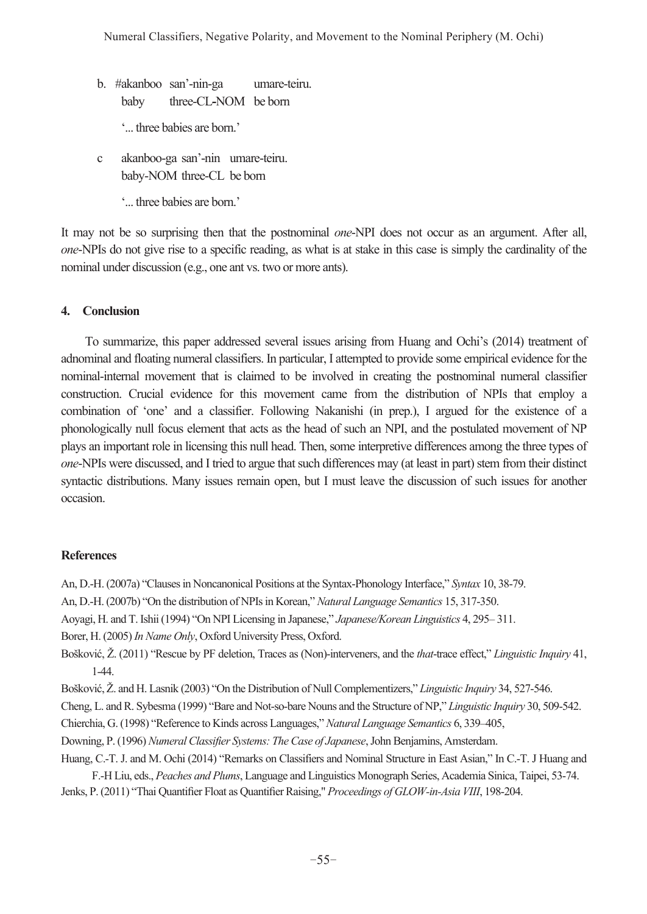b. #akanboo san'-nin-ga umare-teiru. baby three-CL**-**NOM be born

'... three babies are born.'

 c akanboo-ga san'-nin umare-teiru. baby-NOM three-CL be born

'... three babies are born.'

It may not be so surprising then that the postnominal *one*-NPI does not occur as an argument. After all, *one*-NPIs do not give rise to a specific reading, as what is at stake in this case is simply the cardinality of the nominal under discussion (e.g., one ant vs. two or more ants).

# **4. Conclusion**

 To summarize, this paper addressed several issues arising from Huang and Ochi's (2014) treatment of adnominal and floating numeral classifiers. In particular, I attempted to provide some empirical evidence for the nominal-internal movement that is claimed to be involved in creating the postnominal numeral classifier construction. Crucial evidence for this movement came from the distribution of NPIs that employ a combination of 'one' and a classifier. Following Nakanishi (in prep.), I argued for the existence of a phonologically null focus element that acts as the head of such an NPI, and the postulated movement of NP plays an important role in licensing this null head. Then, some interpretive differences among the three types of *one*-NPIs were discussed, and I tried to argue that such differences may (at least in part) stem from their distinct syntactic distributions. Many issues remain open, but I must leave the discussion of such issues for another occasion.

## **References**

An, D.-H. (2007a) "Clauses in Noncanonical Positions at the Syntax-Phonology Interface," *Syntax* 10, 38-79.

- An, D.-H. (2007b) "On the distribution of NPIs in Korean," *Natural Language Semantics* 15, 317-350.
- Aoyagi, H. and T. Ishii (1994) "On NPI Licensing in Japanese," *Japanese/Korean Linguistics* 4, 295– 311.

Borer, H. (2005) *In Name Only*, Oxford University Press, Oxford.

- Bošković, Ž. (2011) "Rescue by PF deletion, Traces as (Non)-interveners, and the *that*-trace effect," *Linguistic Inquiry* 41, 1-44.
- Bošković, Ž. and H. Lasnik (2003) "On the Distribution of Null Complementizers," *Linguistic Inquiry* 34, 527-546.

Cheng, L. and R. Sybesma (1999) "Bare and Not-so-bare Nouns and the Structure of NP," *Linguistic Inquiry* 30, 509-542.

- Chierchia, G. (1998) "Reference to Kinds across Languages," *Natural Language Semantics* 6, 339–405,
- Downing, P. (1996) *Numeral Classifier Systems: The Case of Japanese*, John Benjamins, Amsterdam.
- Huang, C.-T. J. and M. Ochi (2014) "Remarks on Classifiers and Nominal Structure in East Asian," In C.-T. J Huang and

F.-H Liu, eds., *Peaches and Plums*, Language and Linguistics Monograph Series, Academia Sinica, Taipei, 53-74. Jenks, P. (2011) "Thai Quantifier Float as Quantifier Raising," *Proceedings of GLOW-in-Asia VIII*, 198-204.